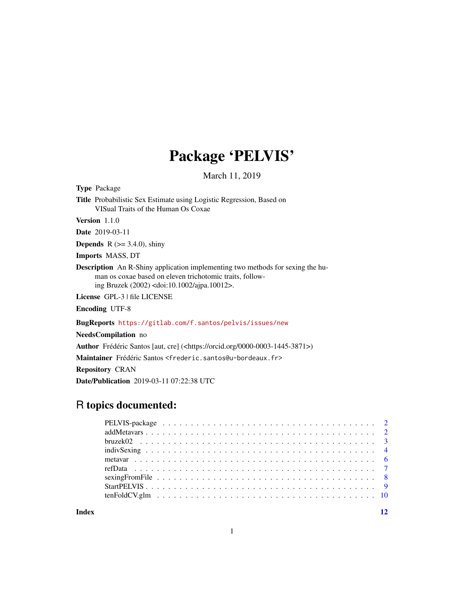## Package 'PELVIS'

March 11, 2019

Type Package

Title Probabilistic Sex Estimate using Logistic Regression, Based on VISual Traits of the Human Os Coxae

Version 1.1.0

Date 2019-03-11

**Depends** R  $(>= 3.4.0)$ , shiny

Imports MASS, DT

Description An R-Shiny application implementing two methods for sexing the human os coxae based on eleven trichotomic traits, following Bruzek (2002) <doi:10.1002/ajpa.10012>.

License GPL-3 | file LICENSE

Encoding UTF-8

BugReports <https://gitlab.com/f.santos/pelvis/issues/new>

NeedsCompilation no

Author Frédéric Santos [aut, cre] (<https://orcid.org/0000-0003-1445-3871>)

Maintainer Frédéric Santos <frederic.santos@u-bordeaux.fr>

Repository CRAN

Date/Publication 2019-03-11 07:22:38 UTC

## R topics documented:

**Index** [12](#page-11-0)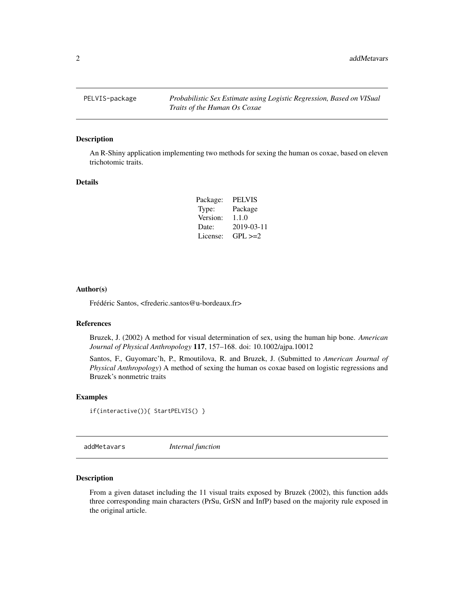<span id="page-1-0"></span>PELVIS-package *Probabilistic Sex Estimate using Logistic Regression, Based on VISual Traits of the Human Os Coxae*

#### Description

An R-Shiny application implementing two methods for sexing the human os coxae, based on eleven trichotomic traits.

#### Details

| Package: | <b>PELVIS</b> |
|----------|---------------|
| Type:    | Package       |
| Version: | 1.1.0         |
| Date:    | 2019-03-11    |
| License: | $GPL \geq 2$  |

#### Author(s)

Frédéric Santos, <frederic.santos@u-bordeaux.fr>

#### References

Bruzek, J. (2002) A method for visual determination of sex, using the human hip bone. *American Journal of Physical Anthropology* 117, 157–168. doi: 10.1002/ajpa.10012

Santos, F., Guyomarc'h, P., Rmoutilova, R. and Bruzek, J. (Submitted to *American Journal of Physical Anthropology*) A method of sexing the human os coxae based on logistic regressions and Bruzek's nonmetric traits

#### Examples

```
if(interactive()){ StartPELVIS() }
```
addMetavars *Internal function*

## **Description**

From a given dataset including the 11 visual traits exposed by Bruzek (2002), this function adds three corresponding main characters (PrSu, GrSN and InfP) based on the majority rule exposed in the original article.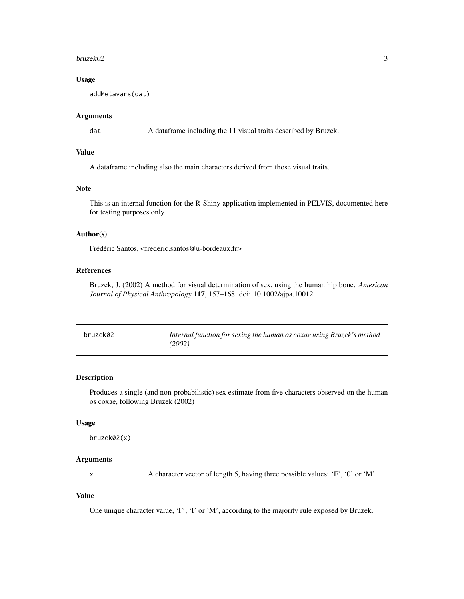#### <span id="page-2-0"></span>bruzek02 3

## Usage

addMetavars(dat)

## Arguments

dat A dataframe including the 11 visual traits described by Bruzek.

## Value

A dataframe including also the main characters derived from those visual traits.

## Note

This is an internal function for the R-Shiny application implemented in PELVIS, documented here for testing purposes only.

## Author(s)

Frédéric Santos, <frederic.santos@u-bordeaux.fr>

## References

Bruzek, J. (2002) A method for visual determination of sex, using the human hip bone. *American Journal of Physical Anthropology* 117, 157–168. doi: 10.1002/ajpa.10012

| bruzek02 | Internal function for sexing the human os coxae using Bruzek's method<br>(2002) |
|----------|---------------------------------------------------------------------------------|
|          |                                                                                 |

## Description

Produces a single (and non-probabilistic) sex estimate from five characters observed on the human os coxae, following Bruzek (2002)

#### Usage

bruzek02(x)

#### Arguments

x A character vector of length 5, having three possible values: 'F', '0' or 'M'.

## Value

One unique character value, 'F', 'I' or 'M', according to the majority rule exposed by Bruzek.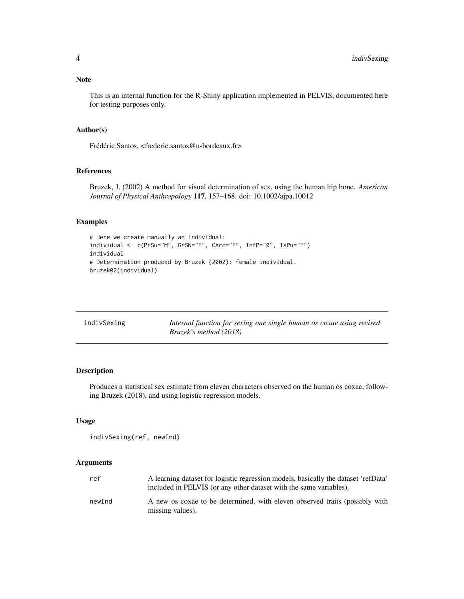## <span id="page-3-0"></span>Note

This is an internal function for the R-Shiny application implemented in PELVIS, documented here for testing purposes only.

#### Author(s)

Frédéric Santos, <frederic.santos@u-bordeaux.fr>

## References

Bruzek, J. (2002) A method for visual determination of sex, using the human hip bone. *American Journal of Physical Anthropology* 117, 157–168. doi: 10.1002/ajpa.10012

## Examples

```
# Here we create manually an individual:
individual <- c(PrSu="M", GrSN="F", CArc="F", InfP="0", IsPu="F")
individual
# Determination produced by Bruzek (2002): female individual.
bruzek02(individual)
```

| indivSexing | Internal function for sexing one single human os coxae using revised |
|-------------|----------------------------------------------------------------------|
|             | <i>Bruzek's method (2018)</i>                                        |

## Description

Produces a statistical sex estimate from eleven characters observed on the human os coxae, following Bruzek (2018), and using logistic regression models.

## Usage

```
indivSexing(ref, newInd)
```
## Arguments

| ref    | A learning dataset for logistic regression models, basically the dataset 'refData'<br>included in PELVIS (or any other dataset with the same variables). |
|--------|----------------------------------------------------------------------------------------------------------------------------------------------------------|
| newInd | A new os coxae to be determined, with eleven observed traits (possibly with<br>missing values).                                                          |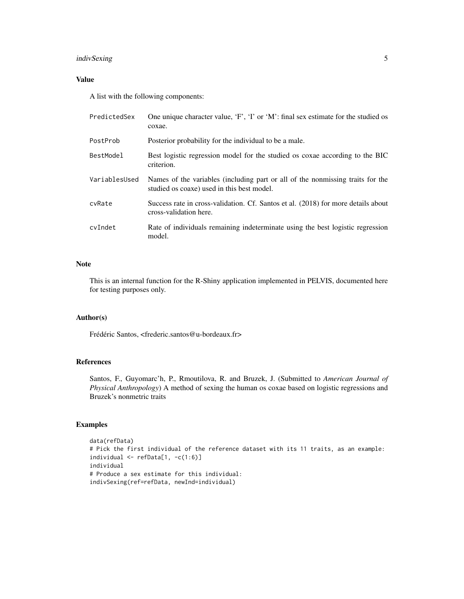## indivSexing 5

## Value

A list with the following components:

| PredictedSex  | One unique character value, 'F', 'I' or 'M': final sex estimate for the studied os<br>coxae.                                 |
|---------------|------------------------------------------------------------------------------------------------------------------------------|
| PostProb      | Posterior probability for the individual to be a male.                                                                       |
| BestModel     | Best logistic regression model for the studied os coxae according to the BIC<br>criterion.                                   |
| VariablesUsed | Names of the variables (including part or all of the nonmissing traits for the<br>studied os coaxe) used in this best model. |
| cyRate        | Success rate in cross-validation. Cf. Santos et al. (2018) for more details about<br>cross-validation here.                  |
| cvIndet       | Rate of individuals remaining indeterminate using the best logistic regression<br>model.                                     |

## Note

This is an internal function for the R-Shiny application implemented in PELVIS, documented here for testing purposes only.

#### Author(s)

Frédéric Santos, <frederic.santos@u-bordeaux.fr>

## References

Santos, F., Guyomarc'h, P., Rmoutilova, R. and Bruzek, J. (Submitted to *American Journal of Physical Anthropology*) A method of sexing the human os coxae based on logistic regressions and Bruzek's nonmetric traits

## Examples

```
data(refData)
# Pick the first individual of the reference dataset with its 11 traits, as an example:
individual \leq refData[1, -c(1:6)]
individual
# Produce a sex estimate for this individual:
indivSexing(ref=refData, newInd=individual)
```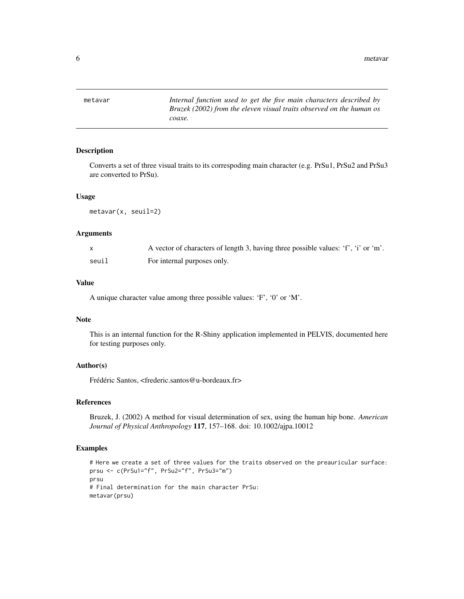<span id="page-5-0"></span>metavar *Internal function used to get the five main characters described by Bruzek (2002) from the eleven visual traits observed on the human os coaxe.*

## Description

Converts a set of three visual traits to its correspoding main character (e.g. PrSu1, PrSu2 and PrSu3 are converted to PrSu).

#### Usage

metavar(x, seuil=2)

#### Arguments

|       | A vector of characters of length 3, having three possible values: 'f', 'i' or 'm'. |
|-------|------------------------------------------------------------------------------------|
| seuil | For internal purposes only.                                                        |

## Value

A unique character value among three possible values: 'F', '0' or 'M'.

## Note

This is an internal function for the R-Shiny application implemented in PELVIS, documented here for testing purposes only.

## Author(s)

Frédéric Santos, <frederic.santos@u-bordeaux.fr>

#### References

Bruzek, J. (2002) A method for visual determination of sex, using the human hip bone. *American Journal of Physical Anthropology* 117, 157–168. doi: 10.1002/ajpa.10012

#### Examples

```
# Here we create a set of three values for the traits observed on the preauricular surface:
prsu <- c(PrSu1="f", PrSu2="f", PrSu3="m")
prsu
# Final determination for the main character PrSu:
metavar(prsu)
```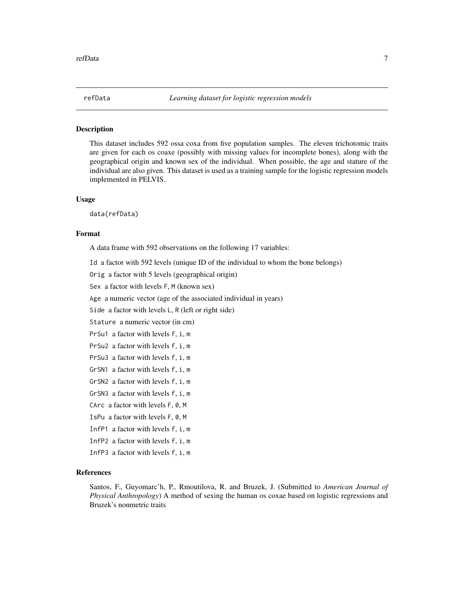<span id="page-6-0"></span>

#### Description

This dataset includes 592 ossa coxa from five population samples. The eleven trichotomic traits are given for each os coaxe (possibly with missing values for incomplete bones), along with the geographical origin and known sex of the individual. When possible, the age and stature of the individual are also given. This dataset is used as a training sample for the logistic regression models implemented in PELVIS.

#### Usage

data(refData)

#### Format

A data frame with 592 observations on the following 17 variables:

Id a factor with 592 levels (unique ID of the individual to whom the bone belongs)

Orig a factor with 5 levels (geographical origin)

Sex a factor with levels F, M (known sex)

Age a numeric vector (age of the associated individual in years)

Side a factor with levels L, R (left or right side)

Stature a numeric vector (in cm)

```
PrSu1 a factor with levels f, i, m
```
PrSu2 a factor with levels f, i, m

- PrSu3 a factor with levels f, i, m
- GrSN1 a factor with levels f, i, m
- GrSN2 a factor with levels f, i, m
- GrSN3 a factor with levels f, i, m
- CArc a factor with levels F, 0, M
- IsPu a factor with levels F, 0, M
- InfP1 a factor with levels f, i, m
- InfP2 a factor with levels f, i, m
- InfP3 a factor with levels f, i, m

## References

Santos, F., Guyomarc'h, P., Rmoutilova, R. and Bruzek, J. (Submitted to *American Journal of Physical Anthropology*) A method of sexing the human os coxae based on logistic regressions and Bruzek's nonmetric traits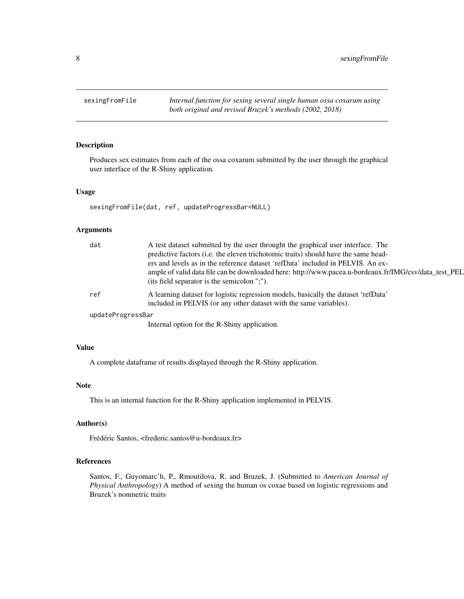<span id="page-7-0"></span>8 sexingFromFile

## Description

Produces sex estimates from each of the ossa coxarum submitted by the user through the graphical user interface of the R-Shiny application.

## Usage

sexingFromFile(dat, ref, updateProgressBar=NULL)

## Arguments

| dat               | A test dataset submitted by the user throught the graphical user interface. The<br>predictive factors (i.e. the eleven trichotomic traits) should have the same head-<br>ers and levels as in the reference dataset 'refData' included in PELVIS. An ex-<br>ample of valid data file can be downloaded here: http://www.pacea.u-bordeaux.fr/IMG/csv/data_test_PEL<br>(its field separator is the semicolon ";"). |
|-------------------|------------------------------------------------------------------------------------------------------------------------------------------------------------------------------------------------------------------------------------------------------------------------------------------------------------------------------------------------------------------------------------------------------------------|
| ref               | A learning dataset for logistic regression models, basically the dataset 'refData'<br>included in PELVIS (or any other dataset with the same variables).                                                                                                                                                                                                                                                         |
| updateProgressBar |                                                                                                                                                                                                                                                                                                                                                                                                                  |
|                   | Internal option for the R-Shiny application.                                                                                                                                                                                                                                                                                                                                                                     |

#### Value

A complete dataframe of results displayed through the R-Shiny application.

## Note

This is an internal function for the R-Shiny application implemented in PELVIS.

## Author(s)

Frédéric Santos, <frederic.santos@u-bordeaux.fr>

## References

Santos, F., Guyomarc'h, P., Rmoutilova, R. and Bruzek, J. (Submitted to *American Journal of Physical Anthropology*) A method of sexing the human os coxae based on logistic regressions and Bruzek's nonmetric traits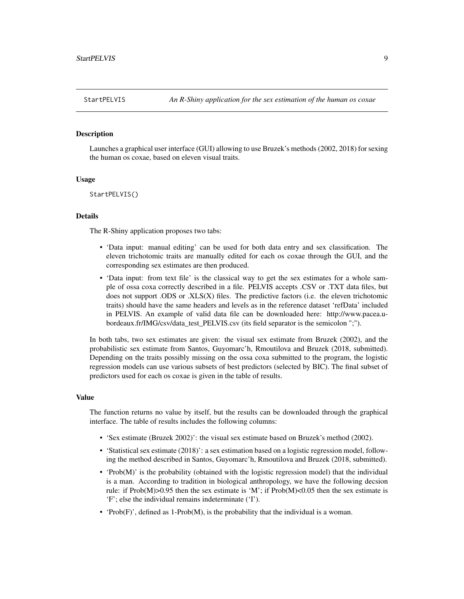#### <span id="page-8-0"></span>**Description**

Launches a graphical user interface (GUI) allowing to use Bruzek's methods (2002, 2018) for sexing the human os coxae, based on eleven visual traits.

#### Usage

StartPELVIS()

## Details

The R-Shiny application proposes two tabs:

- 'Data input: manual editing' can be used for both data entry and sex classification. The eleven trichotomic traits are manually edited for each os coxae through the GUI, and the corresponding sex estimates are then produced.
- 'Data input: from text file' is the classical way to get the sex estimates for a whole sample of ossa coxa correctly described in a file. PELVIS accepts .CSV or .TXT data files, but does not support .ODS or .XLS(X) files. The predictive factors (i.e. the eleven trichotomic traits) should have the same headers and levels as in the reference dataset 'refData' included in PELVIS. An example of valid data file can be downloaded here: http://www.pacea.ubordeaux.fr/IMG/csv/data\_test\_PELVIS.csv (its field separator is the semicolon ";").

In both tabs, two sex estimates are given: the visual sex estimate from Bruzek (2002), and the probabilistic sex estimate from Santos, Guyomarc'h, Rmoutilova and Bruzek (2018, submitted). Depending on the traits possibly missing on the ossa coxa submitted to the program, the logistic regression models can use various subsets of best predictors (selected by BIC). The final subset of predictors used for each os coxae is given in the table of results.

#### Value

The function returns no value by itself, but the results can be downloaded through the graphical interface. The table of results includes the following columns:

- 'Sex estimate (Bruzek 2002)': the visual sex estimate based on Bruzek's method (2002).
- 'Statistical sex estimate (2018)': a sex estimation based on a logistic regression model, following the method described in Santos, Guyomarc'h, Rmoutilova and Bruzek (2018, submitted).
- 'Prob(M)' is the probability (obtained with the logistic regression model) that the individual is a man. According to tradition in biological anthropology, we have the following decsion rule: if Prob(M)>0.95 then the sex estimate is 'M'; if Prob(M)<0.05 then the sex estimate is 'F'; else the individual remains indeterminate ('I').
- 'Prob $(F)$ ', defined as 1-Prob $(M)$ , is the probability that the individual is a woman.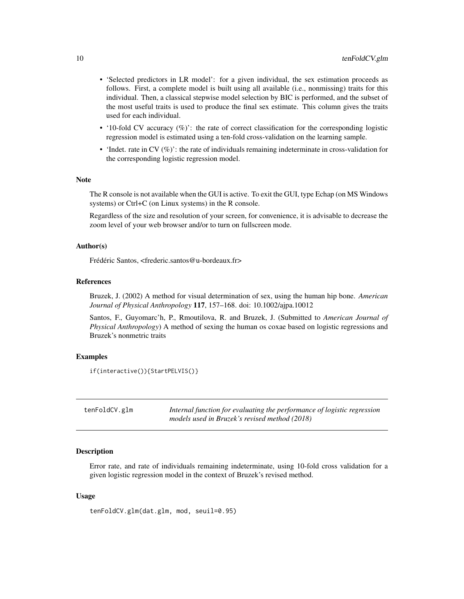- <span id="page-9-0"></span>• 'Selected predictors in LR model': for a given individual, the sex estimation proceeds as follows. First, a complete model is built using all available (i.e., nonmissing) traits for this individual. Then, a classical stepwise model selection by BIC is performed, and the subset of the most useful traits is used to produce the final sex estimate. This column gives the traits used for each individual.
- '10-fold CV accuracy (%)': the rate of correct classification for the corresponding logistic regression model is estimated using a ten-fold cross-validation on the learning sample.
- 'Indet. rate in CV (%)': the rate of individuals remaining indeterminate in cross-validation for the corresponding logistic regression model.

#### Note

The R console is not available when the GUI is active. To exit the GUI, type Echap (on MS Windows systems) or Ctrl+C (on Linux systems) in the R console.

Regardless of the size and resolution of your screen, for convenience, it is advisable to decrease the zoom level of your web browser and/or to turn on fullscreen mode.

## Author(s)

Frédéric Santos, <frederic.santos@u-bordeaux.fr>

#### References

Bruzek, J. (2002) A method for visual determination of sex, using the human hip bone. *American Journal of Physical Anthropology* 117, 157–168. doi: 10.1002/ajpa.10012

Santos, F., Guyomarc'h, P., Rmoutilova, R. and Bruzek, J. (Submitted to *American Journal of Physical Anthropology*) A method of sexing the human os coxae based on logistic regressions and Bruzek's nonmetric traits

#### Examples

```
if(interactive()){StartPELVIS()}
```

| tenFoldCV.glm | Internal function for evaluating the performance of logistic regression |
|---------------|-------------------------------------------------------------------------|
|               | models used in Bruzek's revised method (2018)                           |

#### **Description**

Error rate, and rate of individuals remaining indeterminate, using 10-fold cross validation for a given logistic regression model in the context of Bruzek's revised method.

#### Usage

```
tenFoldCV.glm(dat.glm, mod, seuil=0.95)
```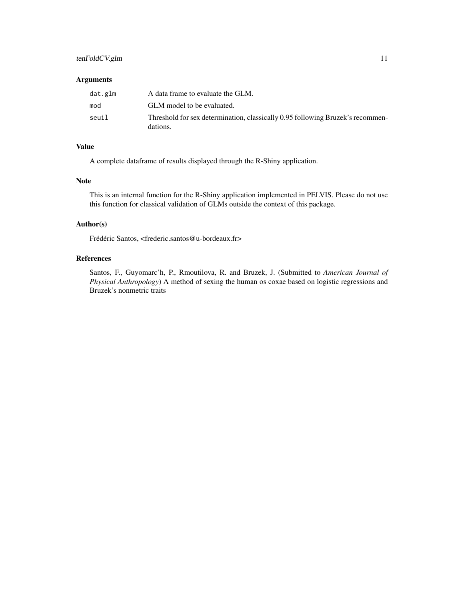## tenFoldCV.glm 11

#### Arguments

| dat.glm | A data frame to evaluate the GLM.                                                          |
|---------|--------------------------------------------------------------------------------------------|
| mod     | GLM model to be evaluated.                                                                 |
| seuil   | Threshold for sex determination, classically 0.95 following Bruzek's recommen-<br>dations. |

## Value

A complete dataframe of results displayed through the R-Shiny application.

## Note

This is an internal function for the R-Shiny application implemented in PELVIS. Please do not use this function for classical validation of GLMs outside the context of this package.

## Author(s)

Frédéric Santos, <frederic.santos@u-bordeaux.fr>

## References

Santos, F., Guyomarc'h, P., Rmoutilova, R. and Bruzek, J. (Submitted to *American Journal of Physical Anthropology*) A method of sexing the human os coxae based on logistic regressions and Bruzek's nonmetric traits